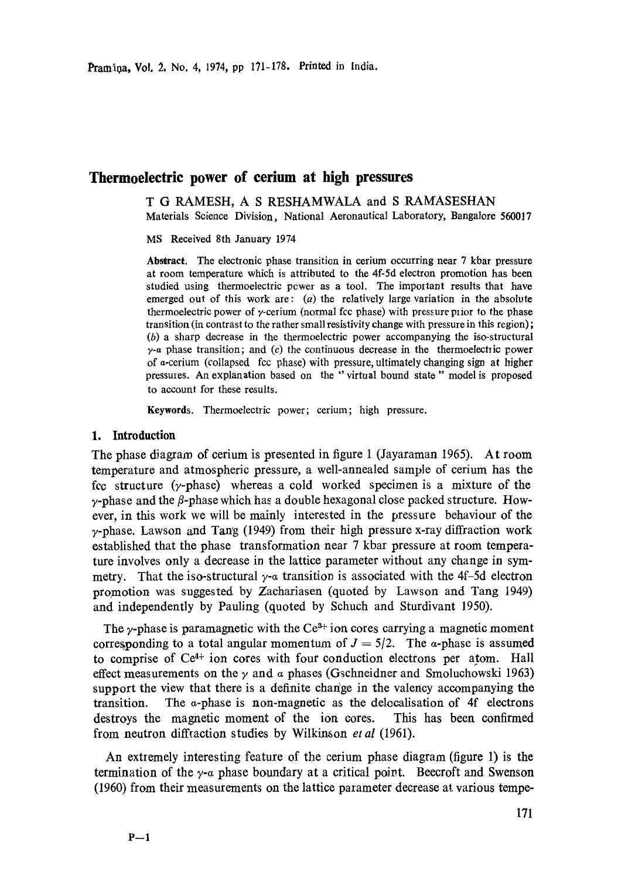# **Thermoelectric power of cerium at high pressures**

T G RAMESH, A S RESHAMWALA and S RAMASESHAN Materials Science Division, National Aeronautical Laboratory, Bangalore 560017

MS Received 8th January 1974

**Abstract.** The electronic phase transition in cerium occurring near 7 kbar pressure at room temperature which is attributed to the 4f-5d electron promotion has been studied using thermoelectric pcwer as a tool. The important results that have emerged out of this work are:  $(a)$  the relatively large variation in the absolute thermoelectric power of  $\gamma$ -cerium (normal fcc phase) with pressure prior to the phase transition (in contrast to the rather small resistivity change with pressure in this region); (b) a sharp decrease in the thermoelectric power accompanying the iso-structural  $y$ -a phase transition; and (c) the continuous decrease in the thermoelectric power of a-cerium (collapsed fcc phase) with pressure, ultimately changing sign at higher pressures. An explanation based on the "virtual bound state" model is proposed to account for these results.

Keywords. Thermoelectric power; cerium; high pressure.

## 1. Introduction

The phase diagram of cerium is presented in figure 1 (Jayaraman 1965). At room temperature and atmospheric pressure, a well-annealed sample of cerium has the fcc structure (y-phase) whereas a cold worked specimen is a mixture of the  $\gamma$ -phase and the  $\beta$ -phase which has a double hexagonal close packed structure. However, in this work we will be mainly interested in the pressure behaviour of the  $\gamma$ -phase. Lawson and Tang (1949) from their high pressure x-ray diffraction work established that the phase transformation near 7 kbar pressure at room temperature involves only a decrease in the lattice parameter without any change in symmetry. That the iso-structural  $y-a$  transition is associated with the 4f-5d electron promotion was suggested by Zachariasen (quoted by Lawson and Tang 1949) and independently by Pauling (quoted by Schuch and Sturdivant 1950).

The  $\gamma$ -phase is paramagnetic with the Ce<sup>3+</sup> ion cores carrying a magnetic moment corresponding to a total angular momentum of  $J = 5/2$ . The a-phase is assumed to comprise of  $Ce<sup>4+</sup>$  ion cores with four conduction electrons per atom. Hall effect measurements on the  $\gamma$  and  $\alpha$  phases (Gschneidner and Smoluchowski 1963) support the view that there is a definite change in the valency accompanying the transition. The  $\alpha$ -phase is non-magnetic as the delocalisation of 4f electrons destroys the magnetic moment of the ion cores. This has been confirmed from neutron diffraction studies by Wilkinson *et al* (1961).

An extremely interesting feature of the cerium phase diagram (figure 1) is the termination of the  $\gamma$ - $\alpha$  phase boundary at a critical point. Beecroft and Swenson (1960) from their measurements on the lattice parameter decrease at various tempe-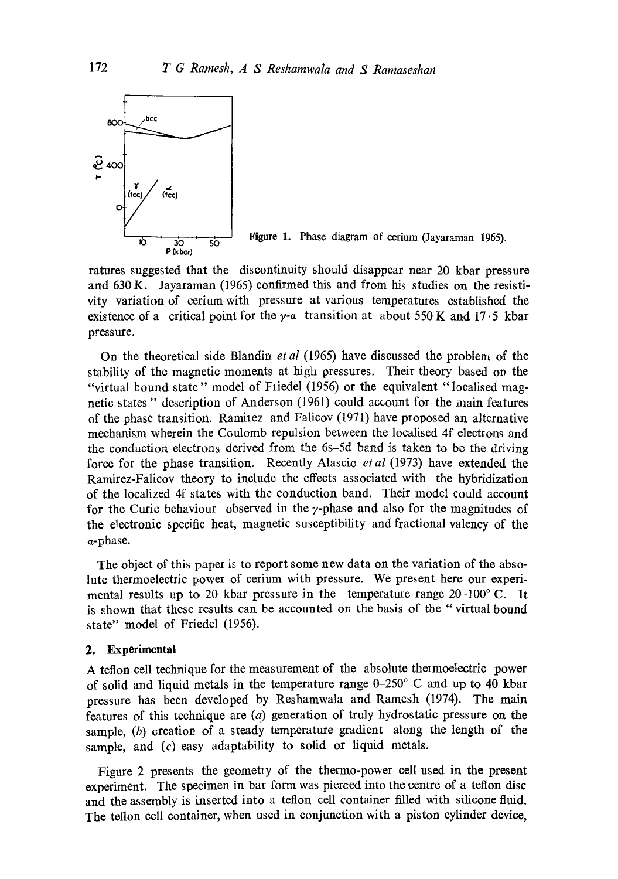

**Figure** 1. Phase diagram of cerium (Jayaraman 1965).

ratures suggested that the discontinuity should disappear near 20 kbar pressure and 630 K. Jayaraman (1965) confirmed this and from his studies on the resistivity variation of cerium with pressure at various temperatures established the existence of a critical point for the  $\gamma$ -a transition at about 550 K and 17.5 kbar pressure.

On the theoretical side Blandin *et al* (1965) have discussed the problem of the stability of the magnetic moments at high pressures. Their theory based on the "virtual bound state" model of Friedel (1956) or the equivalent "localised magnetic states" description of Anderson (1961) could account for the main features of the phase transition. Raminez and Falicov (1971) have proposed an alternative mechanism wherein the Coulomb repulsion between the localised 4f electrons and the conduction electrons derived from the 6s-5d band is taken to be the driving force for the phase transition. Recently Alascio *et al* (1973) have extended the Ramirez-Falicov theory to include the effects associated with the hybridization of the localized 4f states with the conduction band. Their model could account for the Curie behaviour observed in the  $\gamma$ -phase and also for the magnitudes of the electronic specific heat, magnetic susceptibility and fractional valency of the a-phase.

The object of this paper is to report some new data on the variation of the absolute thermoelectric power of cerium with pressure. We present here our experimental results up to 20 kbar pressure in the temperature range  $20-100$  °C. It is shown that these results can be accounted on the basis of the '" virtual bound state" model of Friedel (1956).

## **2. Experimental**

A teflon cell technique for the measurement of the absolute thermoelectric power of solid and liquid metals in the temperature range 0-250 ° C and up to 40 kbar pressure has been developed by Reshamwala and Ramesh (1974). The main features of this technique are (a) generation of truly hydrostatic pressure on the sample,  $(b)$  creation of a steady temperature gradient along the length of the sample, and  $(c)$  easy adaptability to solid or liquid metals.

Figure 2 presents the geometry of the thermo-power cell used in the present experiment. The specimen in bar form was pierced into the centre of a teflon disc and the assembly is inserted into a teflon cell container filled with silicone fluid. The teflon cell container, when used in conjunction with a piston cylinder device,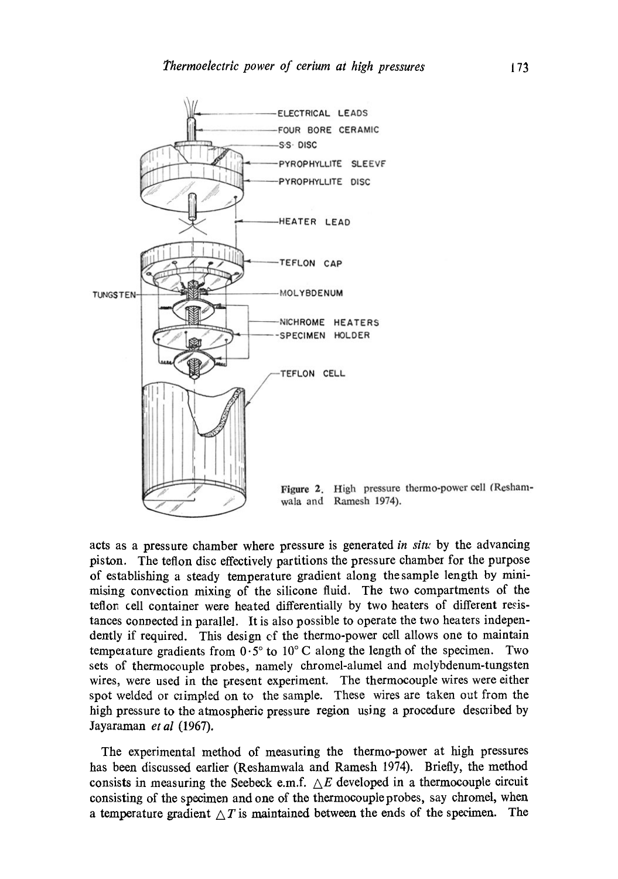

acts as a pressure chamber where pressure is generated *in sin;* by the advancing piston. The teflon disc effectively partitions the pressure chamber for the purpose of establishing a steady temperature gradient along the sample length by minimising convection mixing of the silicone fluid. The two compartments of the teflor, cell container were heated differentially by two heaters of different resistances connected in parallel. It is also possible to operate the two heaters independently if required. This design cf the thermo-power cell allows one to maintain temperature gradients from  $0.5^{\circ}$  to  $10^{\circ}$  C along the length of the specimen. Two sets of thermocouple probes, namely chromel-alumel and molybdenum-tungsten wires, were used in the present experiment. The thermocouple wires were either spot welded or crimpled on to the sample. These wires are taken out from the high pressure to the atmospheric pressure region using a procedure described by Jayaraman *et al* (1967).

The experimental method of measuring the thermo-power at high pressures has been discussed earlier (Reshamwala and Ramesh 1974). Briefly, the method consists in measuring the Seebeck e.m.f.  $\triangle E$  developed in a thermocouple circuit consisting of the specimen and one of the thermocouple probes, say chromel, when a temperature gradient  $\Delta T$  is maintained between the ends of the specimen. The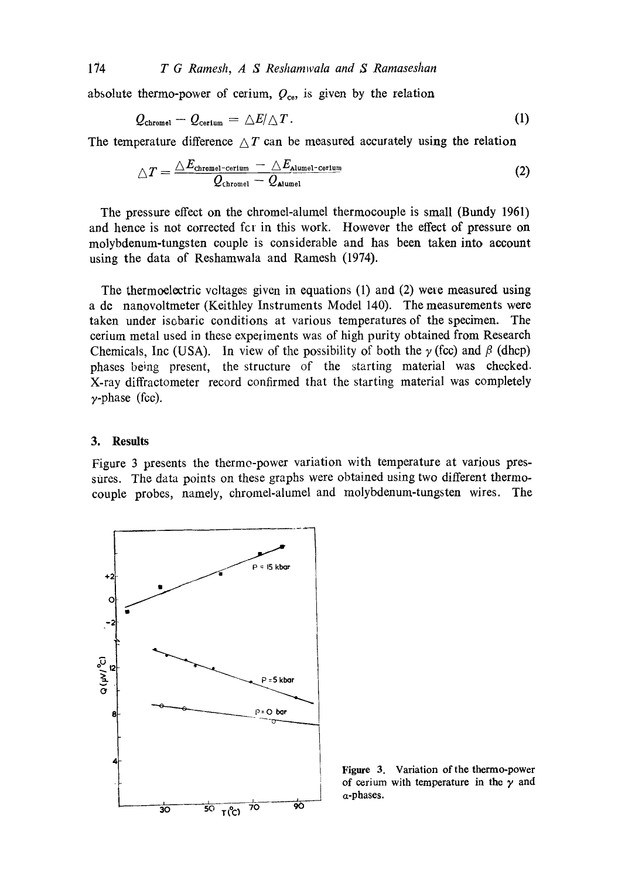174 *T G Ramesh, A S Reshamwala and S Ramaseshan* 

absolute thermo-power of cerium,  $Q_{ce}$ , is given by the relation

$$
Q_{\text{chromel}} - Q_{\text{cerium}} = \Delta E / \Delta T. \tag{1}
$$

The temperature difference  $\Delta T$  can be measured accurately using the relation

$$
\triangle T = \frac{\triangle E_{\text{chromel-corium}} - \triangle E_{\text{Alumel-corium}}}{Q_{\text{chromel}} - Q_{\text{Alumel}}}
$$
(2)

The pressure effect on the chromel-alumel thermocouple is small (Bundy 1961) and hence is not corrected for in this work. However the effect of pressure on molybdenum-tungsten couple is considerable and has been taken into account using the data of Reshamwala and Ramesh (1974).

The thermoelectric voltages given in equations (1) and (2) were measured using a de nanovoltmeter (Keithley Instruments Model 140). The measurements were taken under isobaric conditions at various temperatures of the specimen. The cerium metal used in these experiments was of high purity obtained from Research Chemicals, Inc (USA). In view of the possibility of both the  $\gamma$  (fcc) and  $\beta$  (dhcp) phases being present, the structure of the starting material was checked. X-ray diffractometer record confirmed that the starting material was completely  $\gamma$ -phase (fcc).

## **3. Results**

Figure 3 presents the therme-power variation with temperature at various pressures. The data points on these graphs were obtained using two different thermocouple probes, namely, chromel-alumel and molybdenum-tungsten wires. The



Figure 3. Variation of the thermo-power of cerium with temperature in the  $\gamma$  and a-phases.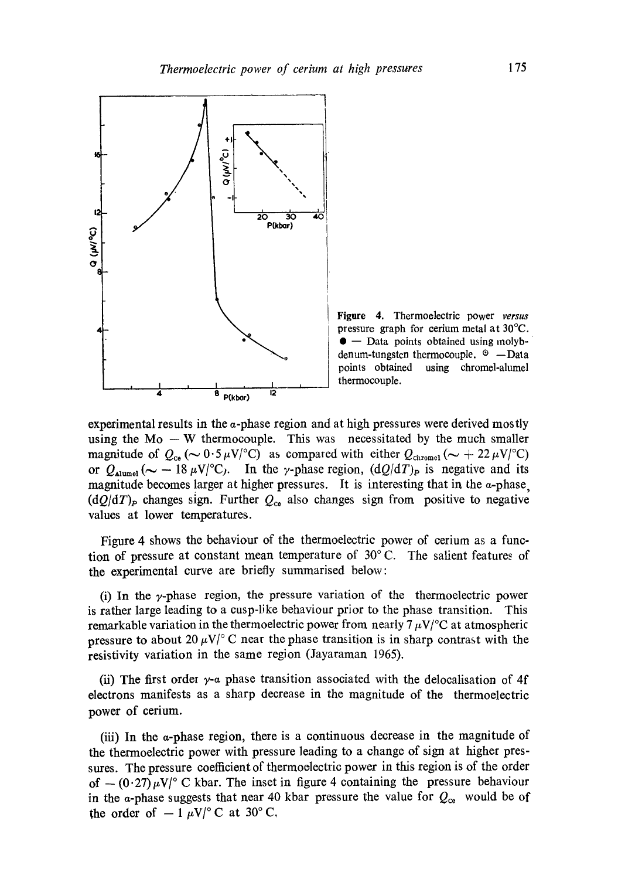

Figure 4. Thermoelectric power *versus*  pressure graph for cerium metal at 30°C.  $\bullet$  – Data points obtained using molybdenum-tungsten thermocouple.  $\circ$  -Data points obtained using chromel-alumel thermocouple.

experimental results in the  $\alpha$ -phase region and at high pressures were derived mostly using the  $Mo - W$  thermocouple. This was necessitated by the much smaller magnitude of  $Q_{\text{ce}}$  ( $\sim 0.5 \mu \text{V}/^{\circ}\text{C}$ ) as compared with either  $Q_{\text{chromel}}$  ( $\sim +22 \mu \text{V}/^{\circ}\text{C}$ ) or  $Q_{\text{alumel}} (\sim -18 \,\mu\text{V}/^{\circ}\text{C})$ . In the y-phase region,  $(dQ/dT)_{\text{P}}$  is negative and its magnitude becomes larger at higher pressures. It is interesting that in the a-phase,  $(dQ/dT)_P$  changes sign. Further  $Q_{c0}$  also changes sign from positive to negative values at lower temperatures.

Figure 4 shows the behaviour of the thermoelectric power of cerium as a function of pressure at constant mean temperature of  $30^{\circ}$  C. The salient features of the experimental curve are briefly summarised below:

(i) In the  $\gamma$ -phase region, the pressure variation of the thermoelectric power is rather large leading to a cusp-like behaviour prior to the phase transition. This remarkable variation in the thermoelectric power from nearly  $7 \mu V$ <sup>o</sup>C at atmospheric pressure to about 20  $\mu$ V/° C near the phase transition is in sharp contrast with the resistivity variation in the same region (Jayaraman 1965).

(ii) The first order  $\gamma$ -a phase transition associated with the delocalisation of 4f electrons manifests as a sharp decrease in the magnitude of the thermoelectric power of cerium.

(iii) In the a-phase region, there is a continuous decrease in the magnitude of the thermoelectric power with pressure leading to a change of sign at higher pressures. The pressure coefficient of thermoelectric power in this region is of the order of  $-(0.27) \mu$ V/° C kbar. The inset in figure 4 containing the pressure behaviour in the a-phase suggests that near 40 kbar pressure the value for  $Q_{\text{ce}}$  would be of the order of  $-1 \mu V$  ° C at 30° C,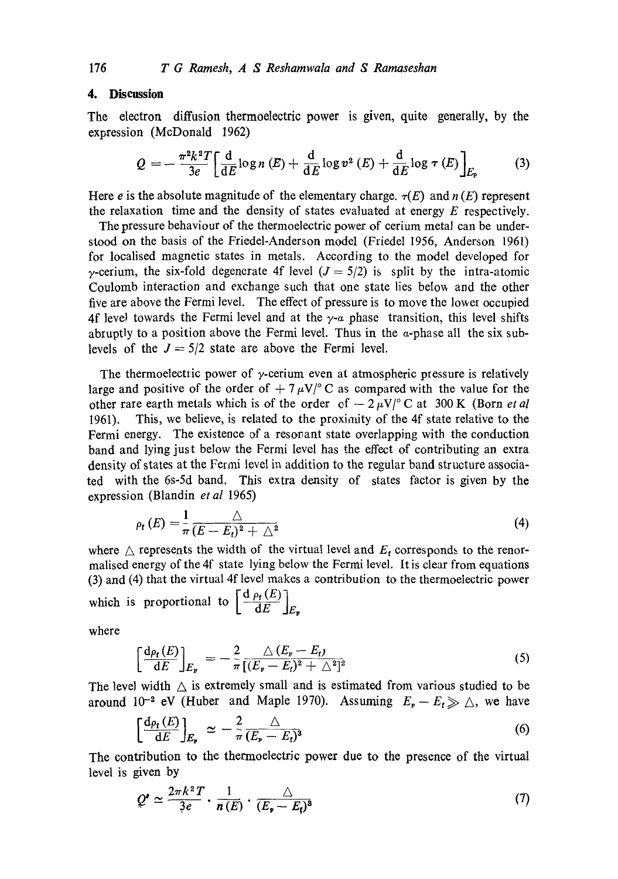# **4. Discussion**

The electron diffusion thermoelectric power is given, quite generally, by the expression (McDonald 1962)

$$
Q = -\frac{\pi^2 k^2 T}{3e} \left[ \frac{\mathrm{d}}{\mathrm{d}E} \log n \left( E \right) + \frac{\mathrm{d}}{\mathrm{d}E} \log v^2 \left( E \right) + \frac{\mathrm{d}}{\mathrm{d}E} \log \tau \left( E \right) \right]_{E_{\mathrm{F}}} \tag{3}
$$

Here e is the absolute magnitude of the elementary charge.  $\tau(E)$  and  $n(E)$  represent the relaxation time and the density of states evaluated at energy  $E$  respectively.

The pressure behaviour of the thermoelectric power of cerium metal can be understood on the basis of the Friedel-Anderson model (Friedel 1956, Anderson 1961) for localised magnetic states in metals. According to the model developed for  $\gamma$ -cerium, the six-fold degenerate 4f level ( $J = 5/2$ ) is split by the intra-atomic Coulomb interaction and exchange such that one state lies belov~ and the other five are above the Fermi level. The effect of pressure is to move the lower occupied 4f level towards the Fermi level and at the  $\gamma$ -a phase transition, this level shifts abruptly to a position above the Fermi level. Thus in the  $\alpha$ -phase all the six sublevels of the  $J = 5/2$  state are above the Fermi level.

The thermoelectric power of  $\gamma$ -cerium even at atmospheric pressure is relatively large and positive of the order of  $+7 \mu V$ <sup>o</sup>C as compared with the value for the other rare earth metals which is of the order of  $-2 \mu V$ <sup>o</sup>C at 300 K (Born *et al*) 1961). This, we believe, is related to the proximity of the 4f state relative to the Fermi energy. The existence of a resonant state overlapping with the conduction band and lying just below the Fermi level has the effect of contributing an extra density of states at the Fermi level in addition to the regular band structure associated with the 6s-5d band. This extra density of states factor is given by the expression (Blandin *et al* 1965)

$$
\rho_t(E) = \frac{1}{\pi} \frac{\triangle}{(E - E_t)^2 + \triangle^2} \tag{4}
$$

where  $\triangle$  represents the width of the virtual level and  $E_t$  corresponds to the renormalised energy of the 4f state lying below the Fermi level. It is clear from equations (3) and (4) that the virtual 4f level makes a contribution to the thermoelectric power which is proportional to  $\left[\frac{d \rho_t(E)}{dE}\right]_{E_x}$ 

where

$$
\left[\frac{\mathrm{d}\rho_{\mathbf{t}}(E)}{\mathrm{d}E}\right]_{E_{\mathbf{F}}} = -\frac{2}{\pi} \frac{\triangle (E_{\mathbf{F}} - E_{\mathbf{t}})}{[(E_{\mathbf{F}} - E_{\mathbf{t}})^2 + \triangle^2]^2}
$$
(5)

The level width  $\triangle$  is extremely small and is estimated from various studied to be around 10<sup>-2</sup> eV (Huber and Maple 1970). Assuming  $E_{\rm F}-E_{\rm f}\gg \triangle$ , we have

$$
\left[\frac{d\rho_{\mathbf{r}}(E)}{dE}\right]_{E_{\mathbf{r}}} \simeq -\frac{2}{\pi} \frac{\triangle}{(E_{\mathbf{r}} - E_{\mathbf{r}})^3} \tag{6}
$$

The contribution to the thermoelectric power due to the presence of the virtual level is given by

$$
Q' \simeq \frac{2\pi k^2 T}{3e} \cdot \frac{1}{n(E)} \cdot \frac{\triangle}{(E_{\mathbf{r}} - E_{\mathbf{t}})^3}
$$
(7)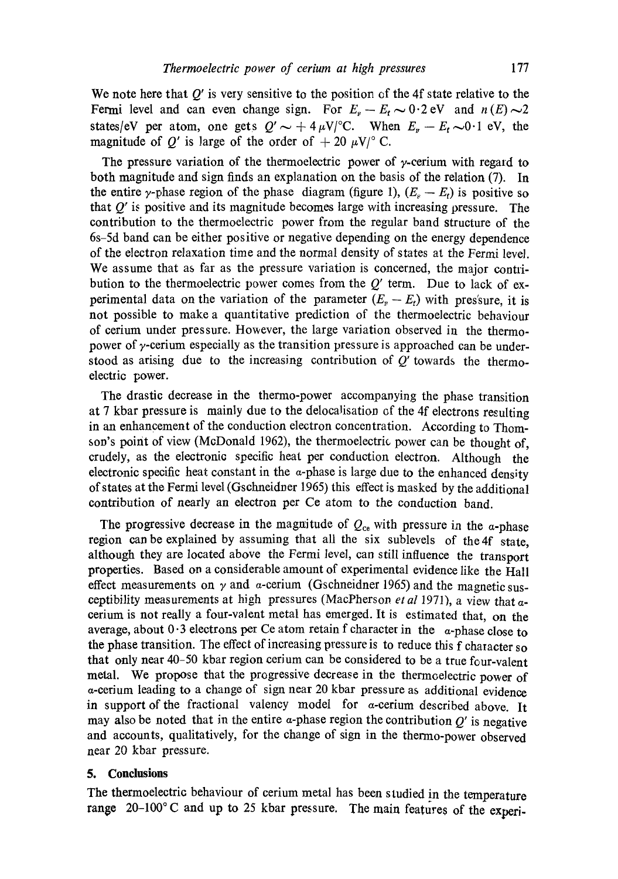We note here that  $Q'$  is very sensitive to the position of the 4f state relative to the Fermi level and can even change sign. For  $E_r - E_t \sim 0.2$  eV and  $n(E) \sim 2$ states/eV per atom, one gets  $Q' \sim +4 \mu V$ °C. When  $E<sub>F</sub> - E<sub>t</sub> \sim 0.1$  eV, the magnitude of Q' is large of the order of  $+ 20 \mu V$ ° C.

The pressure variation of the thermoelectric power of  $\gamma$ -cerium with regard to both magnitude and sign finds an explanation on the basis of the relation (7). In the entire  $\gamma$ -phase region of the phase diagram (figure 1),  $(E_{\rm s} - E_{\rm t})$  is positive so that  $Q'$  is positive and its magnitude becomes large with increasing pressure. The contribution to the thermoelectric power from the regular band structure of the 6s-5d band can be either positive or negative depending on the energy dependence of the electron relaxation time and the normal density of states at the Fermi level. We assume that as far as the pressure variation is concerned, the major contribution to the thermoelectric power comes from the  $Q'$  term. Due to lack of experimental data on the variation of the parameter  $(E_F - E_t)$  with pres'sure, it is not possible to make a quantitative prediction of the thermoelectric bebaviour of cerium under pressure. However, the large variation observed in the thermopower of  $\gamma$ -cerium especially as the transition pressure is approached can be understood as arising due to the increasing contribution of  $Q'$  towards the thermoelectric power.

The drastic decrease in the thermo-power accompanying the phase transition at 7 kbar pressure is mainly due to the delocalisation of the 4f electrons resulting in an enhancement of the conduction electron concentration. According to Thomson's point of view (McDonald 1962), the thermoelectric power can be thought of, crudely, as the electronic specific heat per conduction electron. Although the electronic specific heat constant in the  $\alpha$ -phase is large due to the enhanced density of states at the Fermi level (Gschneidner 1965) this effect is masked by the additional contribution of nearly an electron per Ce atom to the conduction band.

The progressive decrease in the magnitude of  $Q_{ce}$  with pressure in the  $\alpha$ -phase region can be explained by assuming that all the six sublevels of the 4f state, although they are located above the Fermi level, can still influence the transport properties. Based on a considerable amount of experimental evidence like the Hall effect measurements on  $\gamma$  and  $\alpha$ -cerium (Gschneidner 1965) and the magnetic susceptibility measurements at high pressures (MacPherson et al 1971), a view that acerium is not really a four-valent metal has emerged. It is estimated that, on the average, about  $0.3$  electrons per Ce atom retain f character in the  $\alpha$ -phase close to the phase transition. The effect of increasing pressure is to reduce this  $f$  character so that only near 40-50 kbar region cerium can be considered to be a true four-valent metal. We propose that the progressive decrease in the thermoelectric power of a-cerium leading to a change of sign near 20 kbar pressure as additional evidence in support of the fractional valency model for  $\alpha$ -cerium described above. It may also be noted that in the entire  $\alpha$ -phase region the contribution  $Q'$  is negative and accounts, qualitatively, for the change of sign in the thermo-power observed near 20 kbar pressure.

### **5. Conclusions**

The thermoelectric behaviour of cerium metal has been studied in the temperature range 20-100°C and up to 25 kbar pressure. The main features of the experi